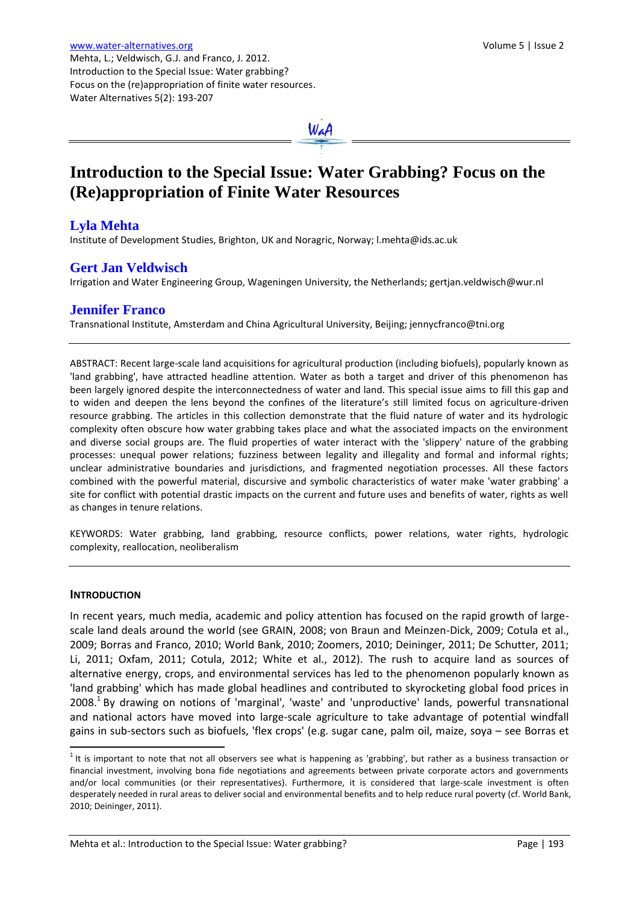

# **Introduction to the Special Issue: Water Grabbing? Focus on the (Re)appropriation of Finite Water Resources**

## **Lyla Mehta**

Institute of Development Studies, Brighton, UK and Noragric, Norway; l.mehta@ids.ac.uk

## **Gert Jan Veldwisch**

Water Alternatives 5(2): 193-207

Irrigation and Water Engineering Group, Wageningen University, the Netherlands; gertjan.veldwisch@wur.nl

## **Jennifer Franco**

Transnational Institute, Amsterdam and China Agricultural University, Beijing; jennycfranco@tni.org

ABSTRACT: Recent large-scale land acquisitions for agricultural production (including biofuels), popularly known as 'land grabbing', have attracted headline attention. Water as both a target and driver of this phenomenon has been largely ignored despite the interconnectedness of water and land. This special issue aims to fill this gap and to widen and deepen the lens beyond the confines of the literature's still limited focus on agriculture-driven resource grabbing. The articles in this collection demonstrate that the fluid nature of water and its hydrologic complexity often obscure how water grabbing takes place and what the associated impacts on the environment and diverse social groups are. The fluid properties of water interact with the 'slippery' nature of the grabbing processes: unequal power relations; fuzziness between legality and illegality and formal and informal rights; unclear administrative boundaries and jurisdictions, and fragmented negotiation processes. All these factors combined with the powerful material, discursive and symbolic characteristics of water make 'water grabbing' a site for conflict with potential drastic impacts on the current and future uses and benefits of water, rights as well as changes in tenure relations.

KEYWORDS: Water grabbing, land grabbing, resource conflicts, power relations, water rights, hydrologic complexity, reallocation, neoliberalism

#### **INTRODUCTION**

 $\overline{a}$ 

In recent years, much media, academic and policy attention has focused on the rapid growth of largescale land deals around the world (see GRAIN, 2008; von Braun and Meinzen-Dick, 2009; Cotula et al., 2009; Borras and Franco, 2010; World Bank, 2010; Zoomers, 2010; Deininger, 2011; De Schutter, 2011; Li, 2011; Oxfam, 2011; Cotula, 2012; White et al., 2012). The rush to acquire land as sources of alternative energy, crops, and environmental services has led to the phenomenon popularly known as 'land grabbing' which has made global headlines and contributed to skyrocketing global food prices in 2008.<sup>1</sup> By drawing on notions of 'marginal', 'waste' and 'unproductive' lands, powerful transnational and national actors have moved into large-scale agriculture to take advantage of potential windfall gains in sub-sectors such as biofuels, 'flex crops' (e.g. sugar cane, palm oil, maize, soya – see Borras et

 $1$  It is important to note that not all observers see what is happening as 'grabbing', but rather as a business transaction or financial investment, involving bona fide negotiations and agreements between private corporate actors and governments and/or local communities (or their representatives). Furthermore, it is considered that large-scale investment is often desperately needed in rural areas to deliver social and environmental benefits and to help reduce rural poverty (cf. World Bank, 2010; Deininger, 2011).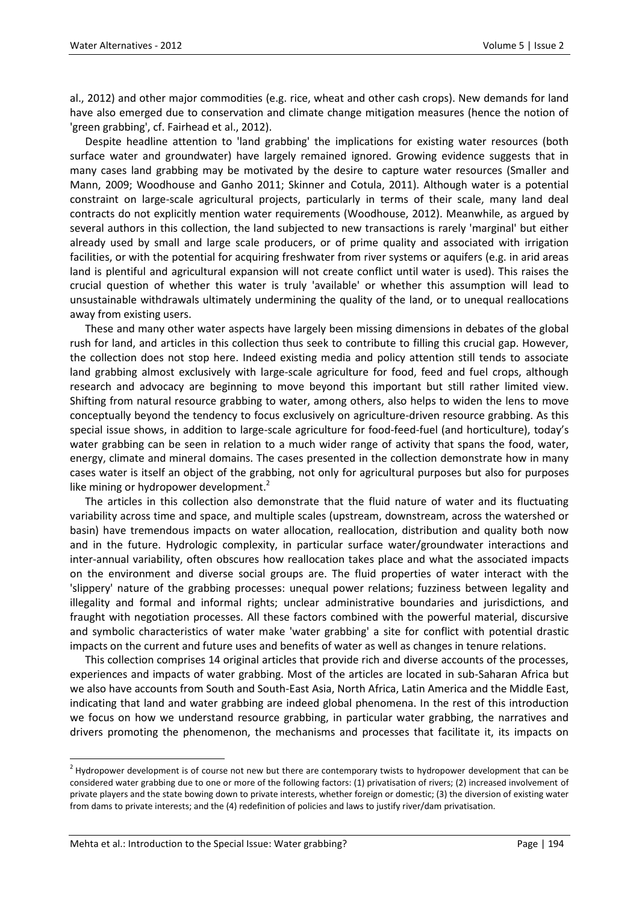al., 2012) and other major commodities (e.g. rice, wheat and other cash crops). New demands for land have also emerged due to conservation and climate change mitigation measures (hence the notion of 'green grabbing', cf. Fairhead et al., 2012).

Despite headline attention to 'land grabbing' the implications for existing water resources (both surface water and groundwater) have largely remained ignored. Growing evidence suggests that in many cases land grabbing may be motivated by the desire to capture water resources (Smaller and Mann, 2009; Woodhouse and Ganho 2011; Skinner and Cotula, 2011). Although water is a potential constraint on large-scale agricultural projects, particularly in terms of their scale, many land deal contracts do not explicitly mention water requirements (Woodhouse, 2012). Meanwhile, as argued by several authors in this collection, the land subjected to new transactions is rarely 'marginal' but either already used by small and large scale producers, or of prime quality and associated with irrigation facilities, or with the potential for acquiring freshwater from river systems or aquifers (e.g. in arid areas land is plentiful and agricultural expansion will not create conflict until water is used). This raises the crucial question of whether this water is truly 'available' or whether this assumption will lead to unsustainable withdrawals ultimately undermining the quality of the land, or to unequal reallocations away from existing users.

These and many other water aspects have largely been missing dimensions in debates of the global rush for land, and articles in this collection thus seek to contribute to filling this crucial gap. However, the collection does not stop here. Indeed existing media and policy attention still tends to associate land grabbing almost exclusively with large-scale agriculture for food, feed and fuel crops, although research and advocacy are beginning to move beyond this important but still rather limited view. Shifting from natural resource grabbing to water, among others, also helps to widen the lens to move conceptually beyond the tendency to focus exclusively on agriculture-driven resource grabbing. As this special issue shows, in addition to large-scale agriculture for food-feed-fuel (and horticulture), today's water grabbing can be seen in relation to a much wider range of activity that spans the food, water, energy, climate and mineral domains. The cases presented in the collection demonstrate how in many cases water is itself an object of the grabbing, not only for agricultural purposes but also for purposes like mining or hydropower development. $<sup>2</sup>$ </sup>

The articles in this collection also demonstrate that the fluid nature of water and its fluctuating variability across time and space, and multiple scales (upstream, downstream, across the watershed or basin) have tremendous impacts on water allocation, reallocation, distribution and quality both now and in the future. Hydrologic complexity, in particular surface water/groundwater interactions and inter-annual variability, often obscures how reallocation takes place and what the associated impacts on the environment and diverse social groups are. The fluid properties of water interact with the 'slippery' nature of the grabbing processes: unequal power relations; fuzziness between legality and illegality and formal and informal rights; unclear administrative boundaries and jurisdictions, and fraught with negotiation processes. All these factors combined with the powerful material, discursive and symbolic characteristics of water make 'water grabbing' a site for conflict with potential drastic impacts on the current and future uses and benefits of water as well as changes in tenure relations.

This collection comprises 14 original articles that provide rich and diverse accounts of the processes, experiences and impacts of water grabbing. Most of the articles are located in sub-Saharan Africa but we also have accounts from South and South-East Asia, North Africa, Latin America and the Middle East, indicating that land and water grabbing are indeed global phenomena. In the rest of this introduction we focus on how we understand resource grabbing, in particular water grabbing, the narratives and drivers promoting the phenomenon, the mechanisms and processes that facilitate it, its impacts on

 $\overline{a}$ 

 $2$  Hydropower development is of course not new but there are contemporary twists to hydropower development that can be considered water grabbing due to one or more of the following factors: (1) privatisation of rivers; (2) increased involvement of private players and the state bowing down to private interests, whether foreign or domestic; (3) the diversion of existing water from dams to private interests; and the (4) redefinition of policies and laws to justify river/dam privatisation.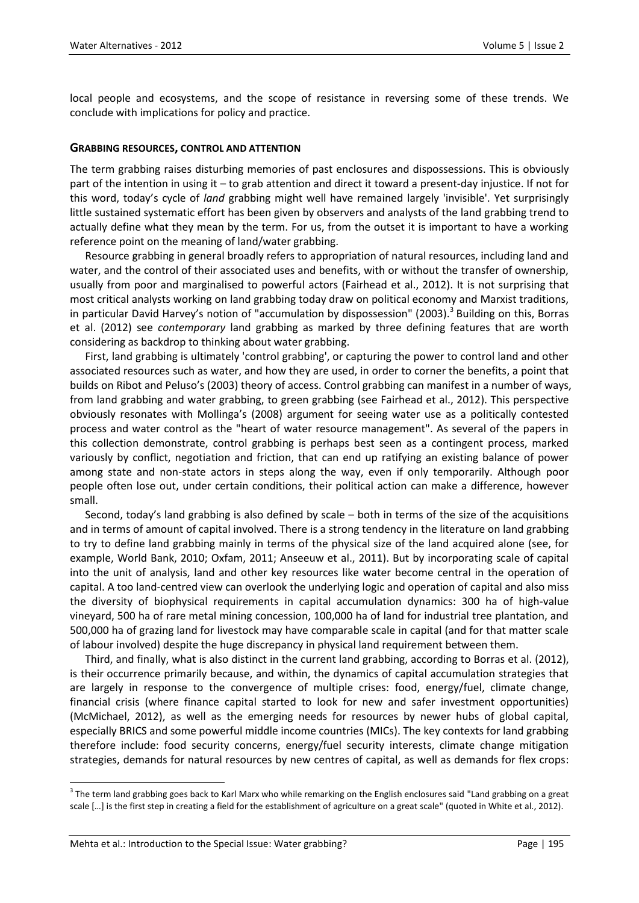local people and ecosystems, and the scope of resistance in reversing some of these trends. We conclude with implications for policy and practice.

#### **GRABBING RESOURCES, CONTROL AND ATTENTION**

The term grabbing raises disturbing memories of past enclosures and dispossessions. This is obviously part of the intention in using it – to grab attention and direct it toward a present-day injustice. If not for this word, today's cycle of *land* grabbing might well have remained largely 'invisible'. Yet surprisingly little sustained systematic effort has been given by observers and analysts of the land grabbing trend to actually define what they mean by the term. For us, from the outset it is important to have a working reference point on the meaning of land/water grabbing.

Resource grabbing in general broadly refers to appropriation of natural resources, including land and water, and the control of their associated uses and benefits, with or without the transfer of ownership, usually from poor and marginalised to powerful actors (Fairhead et al., 2012). It is not surprising that most critical analysts working on land grabbing today draw on political economy and Marxist traditions, in particular David Harvey's notion of "accumulation by dispossession" (2003).<sup>3</sup> Building on this, Borras et al. (2012) see *contemporary* land grabbing as marked by three defining features that are worth considering as backdrop to thinking about water grabbing.

First, land grabbing is ultimately 'control grabbing', or capturing the power to control land and other associated resources such as water, and how they are used, in order to corner the benefits, a point that builds on Ribot and Peluso's (2003) theory of access. Control grabbing can manifest in a number of ways, from land grabbing and water grabbing, to green grabbing (see Fairhead et al., 2012). This perspective obviously resonates with Mollinga's (2008) argument for seeing water use as a politically contested process and water control as the "heart of water resource management". As several of the papers in this collection demonstrate, control grabbing is perhaps best seen as a contingent process, marked variously by conflict, negotiation and friction, that can end up ratifying an existing balance of power among state and non-state actors in steps along the way, even if only temporarily. Although poor people often lose out, under certain conditions, their political action can make a difference, however small.

Second, today's land grabbing is also defined by scale – both in terms of the size of the acquisitions and in terms of amount of capital involved. There is a strong tendency in the literature on land grabbing to try to define land grabbing mainly in terms of the physical size of the land acquired alone (see, for example, World Bank, 2010; Oxfam, 2011; Anseeuw et al., 2011). But by incorporating scale of capital into the unit of analysis, land and other key resources like water become central in the operation of capital. A too land-centred view can overlook the underlying logic and operation of capital and also miss the diversity of biophysical requirements in capital accumulation dynamics: 300 ha of high-value vineyard, 500 ha of rare metal mining concession, 100,000 ha of land for industrial tree plantation, and 500,000 ha of grazing land for livestock may have comparable scale in capital (and for that matter scale of labour involved) despite the huge discrepancy in physical land requirement between them.

Third, and finally, what is also distinct in the current land grabbing, according to Borras et al. (2012), is their occurrence primarily because, and within, the dynamics of capital accumulation strategies that are largely in response to the convergence of multiple crises: food, energy/fuel, climate change, financial crisis (where finance capital started to look for new and safer investment opportunities) (McMichael, 2012), as well as the emerging needs for resources by newer hubs of global capital, especially BRICS and some powerful middle income countries (MICs). The key contexts for land grabbing therefore include: food security concerns, energy/fuel security interests, climate change mitigation strategies, demands for natural resources by new centres of capital, as well as demands for flex crops:

 $\overline{a}$ 

 $^3$  The term land grabbing goes back to Karl Marx who while remarking on the English enclosures said "Land grabbing on a great scale [...] is the first step in creating a field for the establishment of agriculture on a great scale" (quoted in White et al., 2012).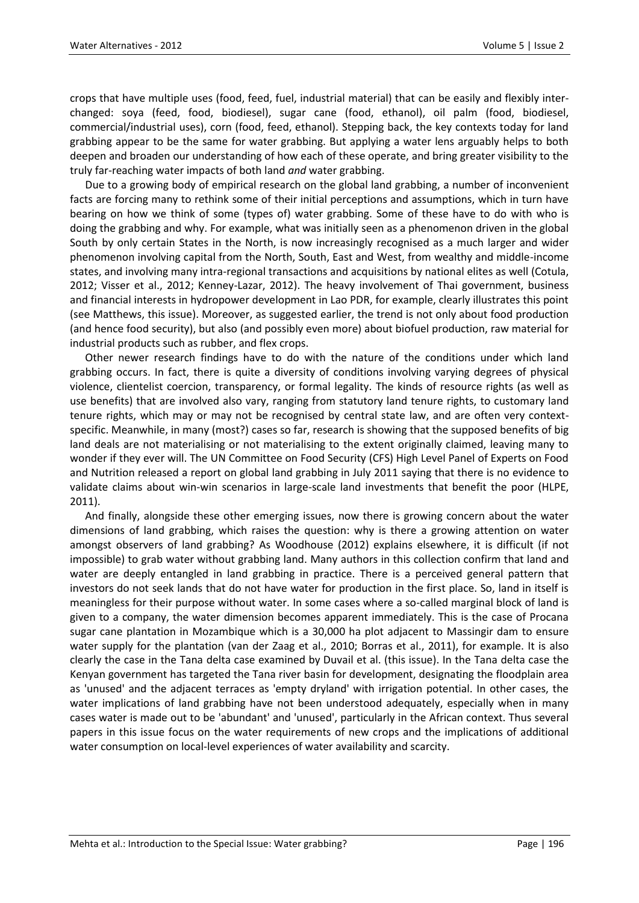crops that have multiple uses (food, feed, fuel, industrial material) that can be easily and flexibly interchanged: soya (feed, food, biodiesel), sugar cane (food, ethanol), oil palm (food, biodiesel, commercial/industrial uses), corn (food, feed, ethanol). Stepping back, the key contexts today for land grabbing appear to be the same for water grabbing. But applying a water lens arguably helps to both deepen and broaden our understanding of how each of these operate, and bring greater visibility to the truly far-reaching water impacts of both land *and* water grabbing.

Due to a growing body of empirical research on the global land grabbing, a number of inconvenient facts are forcing many to rethink some of their initial perceptions and assumptions, which in turn have bearing on how we think of some (types of) water grabbing. Some of these have to do with who is doing the grabbing and why. For example, what was initially seen as a phenomenon driven in the global South by only certain States in the North, is now increasingly recognised as a much larger and wider phenomenon involving capital from the North, South, East and West, from wealthy and middle-income states, and involving many intra-regional transactions and acquisitions by national elites as well (Cotula, 2012; Visser et al., 2012; Kenney-Lazar, 2012). The heavy involvement of Thai government, business and financial interests in hydropower development in Lao PDR, for example, clearly illustrates this point (see Matthews, this issue). Moreover, as suggested earlier, the trend is not only about food production (and hence food security), but also (and possibly even more) about biofuel production, raw material for industrial products such as rubber, and flex crops.

Other newer research findings have to do with the nature of the conditions under which land grabbing occurs. In fact, there is quite a diversity of conditions involving varying degrees of physical violence, clientelist coercion, transparency, or formal legality. The kinds of resource rights (as well as use benefits) that are involved also vary, ranging from statutory land tenure rights, to customary land tenure rights, which may or may not be recognised by central state law, and are often very contextspecific. Meanwhile, in many (most?) cases so far, research is showing that the supposed benefits of big land deals are not materialising or not materialising to the extent originally claimed, leaving many to wonder if they ever will. The UN Committee on Food Security (CFS) High Level Panel of Experts on Food and Nutrition released a report on global land grabbing in July 2011 saying that there is no evidence to validate claims about win-win scenarios in large-scale land investments that benefit the poor (HLPE, 2011).

And finally, alongside these other emerging issues, now there is growing concern about the water dimensions of land grabbing, which raises the question: why is there a growing attention on water amongst observers of land grabbing? As Woodhouse (2012) explains elsewhere, it is difficult (if not impossible) to grab water without grabbing land. Many authors in this collection confirm that land and water are deeply entangled in land grabbing in practice. There is a perceived general pattern that investors do not seek lands that do not have water for production in the first place. So, land in itself is meaningless for their purpose without water. In some cases where a so-called marginal block of land is given to a company, the water dimension becomes apparent immediately. This is the case of Procana sugar cane plantation in Mozambique which is a 30,000 ha plot adjacent to Massingir dam to ensure water supply for the plantation (van der Zaag et al., 2010; Borras et al., 2011), for example. It is also clearly the case in the Tana delta case examined by Duvail et al. (this issue). In the Tana delta case the Kenyan government has targeted the Tana river basin for development, designating the floodplain area as 'unused' and the adjacent terraces as 'empty dryland' with irrigation potential. In other cases, the water implications of land grabbing have not been understood adequately, especially when in many cases water is made out to be 'abundant' and 'unused', particularly in the African context. Thus several papers in this issue focus on the water requirements of new crops and the implications of additional water consumption on local-level experiences of water availability and scarcity.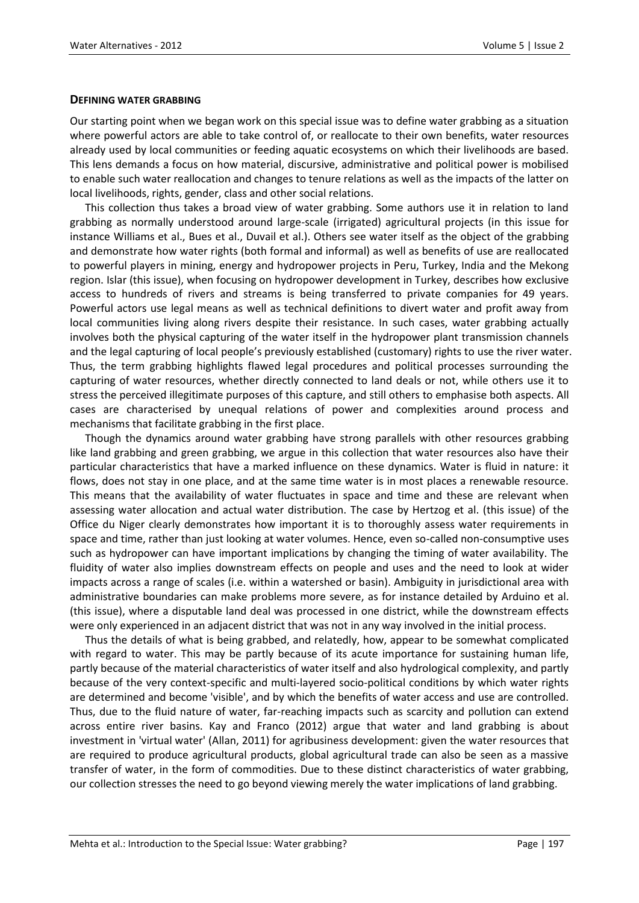#### **DEFINING WATER GRABBING**

Our starting point when we began work on this special issue was to define water grabbing as a situation where powerful actors are able to take control of, or reallocate to their own benefits, water resources already used by local communities or feeding aquatic ecosystems on which their livelihoods are based. This lens demands a focus on how material, discursive, administrative and political power is mobilised to enable such water reallocation and changes to tenure relations as well as the impacts of the latter on local livelihoods, rights, gender, class and other social relations.

This collection thus takes a broad view of water grabbing. Some authors use it in relation to land grabbing as normally understood around large-scale (irrigated) agricultural projects (in this issue for instance Williams et al., Bues et al., Duvail et al.). Others see water itself as the object of the grabbing and demonstrate how water rights (both formal and informal) as well as benefits of use are reallocated to powerful players in mining, energy and hydropower projects in Peru, Turkey, India and the Mekong region. Islar (this issue), when focusing on hydropower development in Turkey, describes how exclusive access to hundreds of rivers and streams is being transferred to private companies for 49 years. Powerful actors use legal means as well as technical definitions to divert water and profit away from local communities living along rivers despite their resistance. In such cases, water grabbing actually involves both the physical capturing of the water itself in the hydropower plant transmission channels and the legal capturing of local people's previously established (customary) rights to use the river water. Thus, the term grabbing highlights flawed legal procedures and political processes surrounding the capturing of water resources, whether directly connected to land deals or not, while others use it to stress the perceived illegitimate purposes of this capture, and still others to emphasise both aspects. All cases are characterised by unequal relations of power and complexities around process and mechanisms that facilitate grabbing in the first place.

Though the dynamics around water grabbing have strong parallels with other resources grabbing like land grabbing and green grabbing, we argue in this collection that water resources also have their particular characteristics that have a marked influence on these dynamics. Water is fluid in nature: it flows, does not stay in one place, and at the same time water is in most places a renewable resource. This means that the availability of water fluctuates in space and time and these are relevant when assessing water allocation and actual water distribution. The case by Hertzog et al. (this issue) of the Office du Niger clearly demonstrates how important it is to thoroughly assess water requirements in space and time, rather than just looking at water volumes. Hence, even so-called non-consumptive uses such as hydropower can have important implications by changing the timing of water availability. The fluidity of water also implies downstream effects on people and uses and the need to look at wider impacts across a range of scales (i.e. within a watershed or basin). Ambiguity in jurisdictional area with administrative boundaries can make problems more severe, as for instance detailed by Arduino et al. (this issue), where a disputable land deal was processed in one district, while the downstream effects were only experienced in an adjacent district that was not in any way involved in the initial process.

Thus the details of what is being grabbed, and relatedly, how, appear to be somewhat complicated with regard to water. This may be partly because of its acute importance for sustaining human life, partly because of the material characteristics of water itself and also hydrological complexity, and partly because of the very context-specific and multi-layered socio-political conditions by which water rights are determined and become 'visible', and by which the benefits of water access and use are controlled. Thus, due to the fluid nature of water, far-reaching impacts such as scarcity and pollution can extend across entire river basins. Kay and Franco (2012) argue that water and land grabbing is about investment in 'virtual water' (Allan, 2011) for agribusiness development: given the water resources that are required to produce agricultural products, global agricultural trade can also be seen as a massive transfer of water, in the form of commodities. Due to these distinct characteristics of water grabbing, our collection stresses the need to go beyond viewing merely the water implications of land grabbing.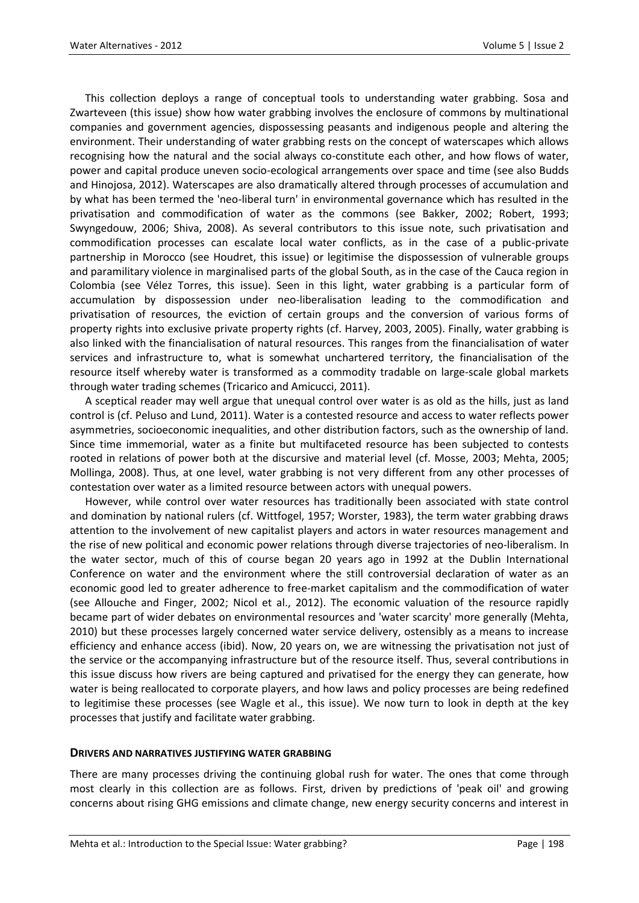This collection deploys a range of conceptual tools to understanding water grabbing. Sosa and Zwarteveen (this issue) show how water grabbing involves the enclosure of commons by multinational companies and government agencies, dispossessing peasants and indigenous people and altering the environment. Their understanding of water grabbing rests on the concept of waterscapes which allows recognising how the natural and the social always co-constitute each other, and how flows of water, power and capital produce uneven socio-ecological arrangements over space and time (see also Budds and Hinojosa, 2012). Waterscapes are also dramatically altered through processes of accumulation and by what has been termed the 'neo-liberal turn' in environmental governance which has resulted in the privatisation and commodification of water as the commons (see Bakker, 2002; Robert, 1993; Swyngedouw, 2006; Shiva, 2008). As several contributors to this issue note, such privatisation and commodification processes can escalate local water conflicts, as in the case of a public-private partnership in Morocco (see Houdret, this issue) or legitimise the dispossession of vulnerable groups and paramilitary violence in marginalised parts of the global South, as in the case of the Cauca region in Colombia (see Vélez Torres, this issue). Seen in this light, water grabbing is a particular form of accumulation by dispossession under neo-liberalisation leading to the commodification and privatisation of resources, the eviction of certain groups and the conversion of various forms of property rights into exclusive private property rights (cf. Harvey, 2003, 2005). Finally, water grabbing is also linked with the financialisation of natural resources. This ranges from the financialisation of water services and infrastructure to, what is somewhat unchartered territory, the financialisation of the resource itself whereby water is transformed as a commodity tradable on large-scale global markets through water trading schemes (Tricarico and Amicucci, 2011).

A sceptical reader may well argue that unequal control over water is as old as the hills, just as land control is (cf. Peluso and Lund, 2011). Water is a contested resource and access to water reflects power asymmetries, socioeconomic inequalities, and other distribution factors, such as the ownership of land. Since time immemorial, water as a finite but multifaceted resource has been subjected to contests rooted in relations of power both at the discursive and material level (cf. Mosse, 2003; Mehta, 2005; Mollinga, 2008). Thus, at one level, water grabbing is not very different from any other processes of contestation over water as a limited resource between actors with unequal powers.

However, while control over water resources has traditionally been associated with state control and domination by national rulers (cf. Wittfogel, 1957; Worster, 1983), the term water grabbing draws attention to the involvement of new capitalist players and actors in water resources management and the rise of new political and economic power relations through diverse trajectories of neo-liberalism. In the water sector, much of this of course began 20 years ago in 1992 at the Dublin International Conference on water and the environment where the still controversial declaration of water as an economic good led to greater adherence to free-market capitalism and the commodification of water (see Allouche and Finger, 2002; Nicol et al., 2012). The economic valuation of the resource rapidly became part of wider debates on environmental resources and 'water scarcity' more generally (Mehta, 2010) but these processes largely concerned water service delivery, ostensibly as a means to increase efficiency and enhance access (ibid). Now, 20 years on, we are witnessing the privatisation not just of the service or the accompanying infrastructure but of the resource itself. Thus, several contributions in this issue discuss how rivers are being captured and privatised for the energy they can generate, how water is being reallocated to corporate players, and how laws and policy processes are being redefined to legitimise these processes (see Wagle et al., this issue). We now turn to look in depth at the key processes that justify and facilitate water grabbing.

#### **DRIVERS AND NARRATIVES JUSTIFYING WATER GRABBING**

There are many processes driving the continuing global rush for water. The ones that come through most clearly in this collection are as follows. First, driven by predictions of 'peak oil' and growing concerns about rising GHG emissions and climate change, new energy security concerns and interest in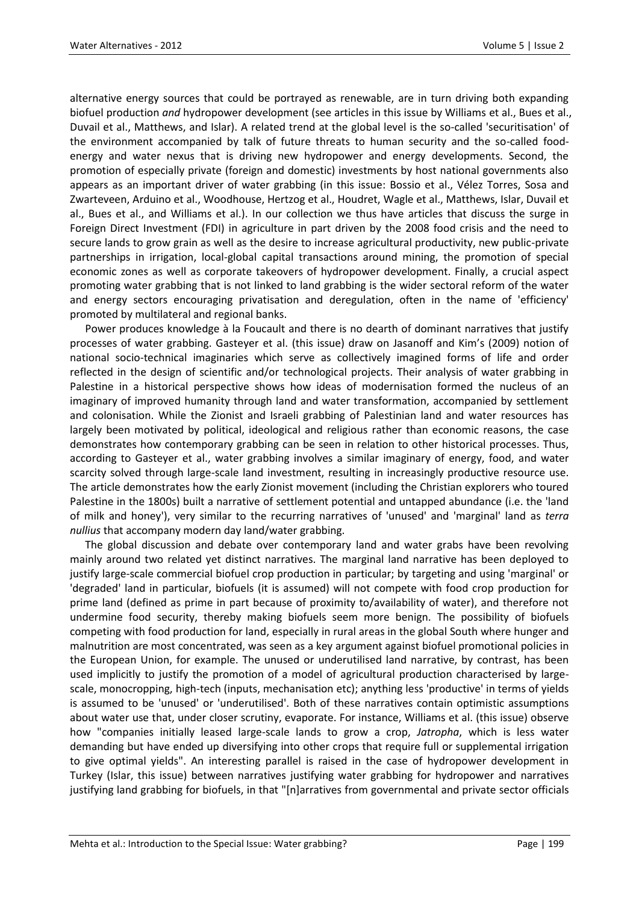alternative energy sources that could be portrayed as renewable, are in turn driving both expanding biofuel production *and* hydropower development (see articles in this issue by Williams et al., Bues et al., Duvail et al., Matthews, and Islar). A related trend at the global level is the so-called 'securitisation' of the environment accompanied by talk of future threats to human security and the so-called foodenergy and water nexus that is driving new hydropower and energy developments. Second, the promotion of especially private (foreign and domestic) investments by host national governments also appears as an important driver of water grabbing (in this issue: Bossio et al., Vélez Torres, Sosa and Zwarteveen, Arduino et al., Woodhouse, Hertzog et al., Houdret, Wagle et al., Matthews, Islar, Duvail et al., Bues et al., and Williams et al.). In our collection we thus have articles that discuss the surge in Foreign Direct Investment (FDI) in agriculture in part driven by the 2008 food crisis and the need to secure lands to grow grain as well as the desire to increase agricultural productivity, new public-private partnerships in irrigation, local-global capital transactions around mining, the promotion of special economic zones as well as corporate takeovers of hydropower development. Finally, a crucial aspect promoting water grabbing that is not linked to land grabbing is the wider sectoral reform of the water and energy sectors encouraging privatisation and deregulation, often in the name of 'efficiency' promoted by multilateral and regional banks.

Power produces knowledge à la Foucault and there is no dearth of dominant narratives that justify processes of water grabbing. Gasteyer et al. (this issue) draw on Jasanoff and Kim's (2009) notion of national socio-technical imaginaries which serve as collectively imagined forms of life and order reflected in the design of scientific and/or technological projects. Their analysis of water grabbing in Palestine in a historical perspective shows how ideas of modernisation formed the nucleus of an imaginary of improved humanity through land and water transformation, accompanied by settlement and colonisation. While the Zionist and Israeli grabbing of Palestinian land and water resources has largely been motivated by political, ideological and religious rather than economic reasons, the case demonstrates how contemporary grabbing can be seen in relation to other historical processes. Thus, according to Gasteyer et al., water grabbing involves a similar imaginary of energy, food, and water scarcity solved through large-scale land investment, resulting in increasingly productive resource use. The article demonstrates how the early Zionist movement (including the Christian explorers who toured Palestine in the 1800s) built a narrative of settlement potential and untapped abundance (i.e. the 'land of milk and honey'), very similar to the recurring narratives of 'unused' and 'marginal' land as *terra nullius* that accompany modern day land/water grabbing.

The global discussion and debate over contemporary land and water grabs have been revolving mainly around two related yet distinct narratives. The marginal land narrative has been deployed to justify large-scale commercial biofuel crop production in particular; by targeting and using 'marginal' or 'degraded' land in particular, biofuels (it is assumed) will not compete with food crop production for prime land (defined as prime in part because of proximity to/availability of water), and therefore not undermine food security, thereby making biofuels seem more benign. The possibility of biofuels competing with food production for land, especially in rural areas in the global South where hunger and malnutrition are most concentrated, was seen as a key argument against biofuel promotional policies in the European Union, for example. The unused or underutilised land narrative, by contrast, has been used implicitly to justify the promotion of a model of agricultural production characterised by largescale, monocropping, high-tech (inputs, mechanisation etc); anything less 'productive' in terms of yields is assumed to be 'unused' or 'underutilised'. Both of these narratives contain optimistic assumptions about water use that, under closer scrutiny, evaporate. For instance, Williams et al. (this issue) observe how "companies initially leased large-scale lands to grow a crop, *Jatropha*, which is less water demanding but have ended up diversifying into other crops that require full or supplemental irrigation to give optimal yields". An interesting parallel is raised in the case of hydropower development in Turkey (Islar, this issue) between narratives justifying water grabbing for hydropower and narratives justifying land grabbing for biofuels, in that "[n]arratives from governmental and private sector officials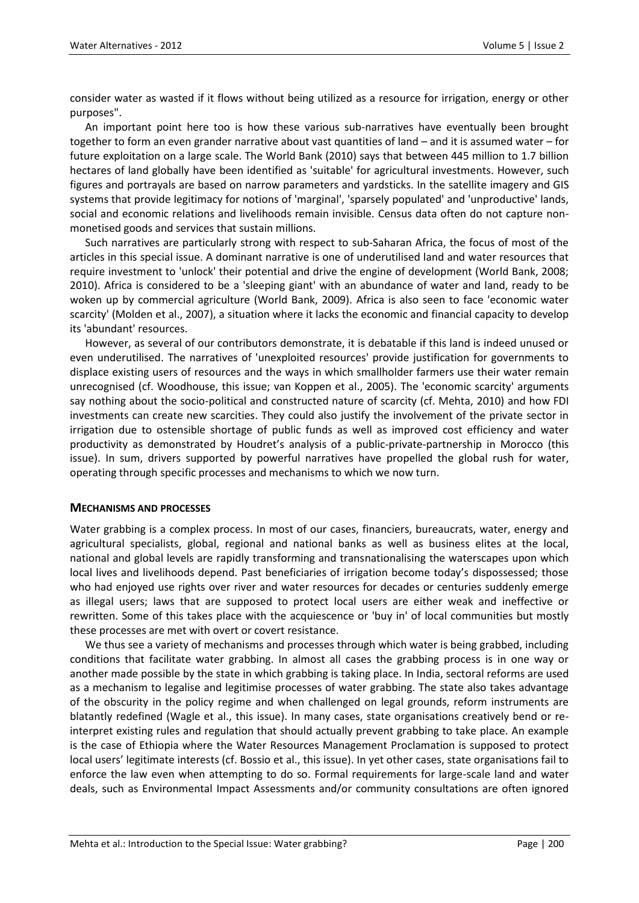consider water as wasted if it flows without being utilized as a resource for irrigation, energy or other purposes".

An important point here too is how these various sub-narratives have eventually been brought together to form an even grander narrative about vast quantities of land – and it is assumed water – for future exploitation on a large scale. The World Bank (2010) says that between 445 million to 1.7 billion hectares of land globally have been identified as 'suitable' for agricultural investments. However, such figures and portrayals are based on narrow parameters and yardsticks. In the satellite imagery and GIS systems that provide legitimacy for notions of 'marginal', 'sparsely populated' and 'unproductive' lands, social and economic relations and livelihoods remain invisible. Census data often do not capture nonmonetised goods and services that sustain millions.

Such narratives are particularly strong with respect to sub-Saharan Africa, the focus of most of the articles in this special issue. A dominant narrative is one of underutilised land and water resources that require investment to 'unlock' their potential and drive the engine of development (World Bank, 2008; 2010). Africa is considered to be a 'sleeping giant' with an abundance of water and land, ready to be woken up by commercial agriculture (World Bank, 2009). Africa is also seen to face 'economic water scarcity' (Molden et al., 2007), a situation where it lacks the economic and financial capacity to develop its 'abundant' resources.

However, as several of our contributors demonstrate, it is debatable if this land is indeed unused or even underutilised. The narratives of 'unexploited resources' provide justification for governments to displace existing users of resources and the ways in which smallholder farmers use their water remain unrecognised (cf. Woodhouse, this issue; van Koppen et al., 2005). The 'economic scarcity' arguments say nothing about the socio-political and constructed nature of scarcity (cf. Mehta, 2010) and how FDI investments can create new scarcities. They could also justify the involvement of the private sector in irrigation due to ostensible shortage of public funds as well as improved cost efficiency and water productivity as demonstrated by Houdret's analysis of a public-private-partnership in Morocco (this issue). In sum, drivers supported by powerful narratives have propelled the global rush for water, operating through specific processes and mechanisms to which we now turn.

#### **MECHANISMS AND PROCESSES**

Water grabbing is a complex process. In most of our cases, financiers, bureaucrats, water, energy and agricultural specialists, global, regional and national banks as well as business elites at the local, national and global levels are rapidly transforming and transnationalising the waterscapes upon which local lives and livelihoods depend. Past beneficiaries of irrigation become today's dispossessed; those who had enjoyed use rights over river and water resources for decades or centuries suddenly emerge as illegal users; laws that are supposed to protect local users are either weak and ineffective or rewritten. Some of this takes place with the acquiescence or 'buy in' of local communities but mostly these processes are met with overt or covert resistance.

We thus see a variety of mechanisms and processes through which water is being grabbed, including conditions that facilitate water grabbing. In almost all cases the grabbing process is in one way or another made possible by the state in which grabbing is taking place. In India, sectoral reforms are used as a mechanism to legalise and legitimise processes of water grabbing. The state also takes advantage of the obscurity in the policy regime and when challenged on legal grounds, reform instruments are blatantly redefined (Wagle et al., this issue). In many cases, state organisations creatively bend or reinterpret existing rules and regulation that should actually prevent grabbing to take place. An example is the case of Ethiopia where the Water Resources Management Proclamation is supposed to protect local users' legitimate interests (cf. Bossio et al., this issue). In yet other cases, state organisations fail to enforce the law even when attempting to do so. Formal requirements for large-scale land and water deals, such as Environmental Impact Assessments and/or community consultations are often ignored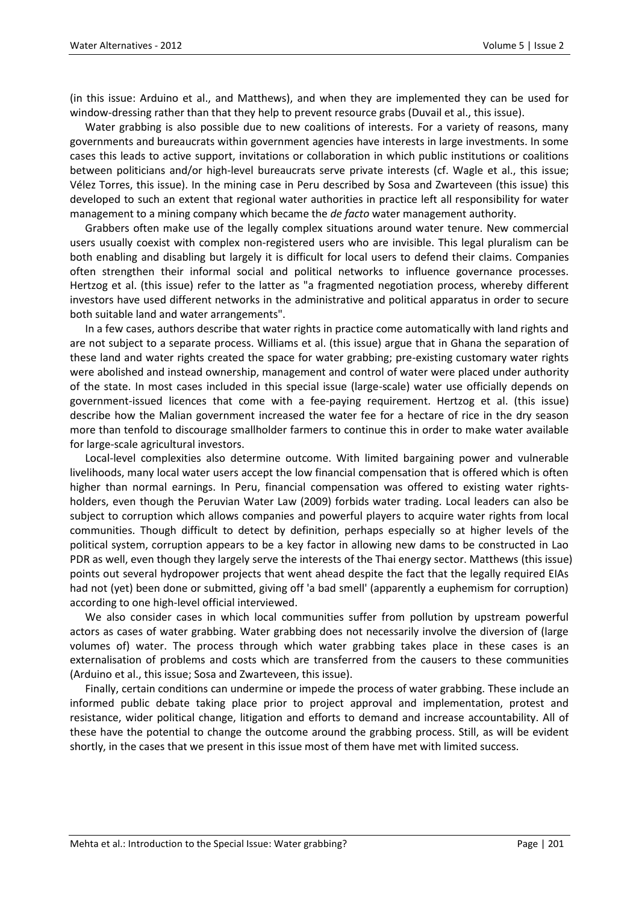(in this issue: Arduino et al., and Matthews), and when they are implemented they can be used for window-dressing rather than that they help to prevent resource grabs (Duvail et al., this issue).

Water grabbing is also possible due to new coalitions of interests. For a variety of reasons, many governments and bureaucrats within government agencies have interests in large investments. In some cases this leads to active support, invitations or collaboration in which public institutions or coalitions between politicians and/or high-level bureaucrats serve private interests (cf. Wagle et al., this issue; Vélez Torres, this issue). In the mining case in Peru described by Sosa and Zwarteveen (this issue) this developed to such an extent that regional water authorities in practice left all responsibility for water management to a mining company which became the *de facto* water management authority.

Grabbers often make use of the legally complex situations around water tenure. New commercial users usually coexist with complex non-registered users who are invisible. This legal pluralism can be both enabling and disabling but largely it is difficult for local users to defend their claims. Companies often strengthen their informal social and political networks to influence governance processes. Hertzog et al. (this issue) refer to the latter as "a fragmented negotiation process, whereby different investors have used different networks in the administrative and political apparatus in order to secure both suitable land and water arrangements".

In a few cases, authors describe that water rights in practice come automatically with land rights and are not subject to a separate process. Williams et al. (this issue) argue that in Ghana the separation of these land and water rights created the space for water grabbing; pre-existing customary water rights were abolished and instead ownership, management and control of water were placed under authority of the state. In most cases included in this special issue (large-scale) water use officially depends on government-issued licences that come with a fee-paying requirement. Hertzog et al. (this issue) describe how the Malian government increased the water fee for a hectare of rice in the dry season more than tenfold to discourage smallholder farmers to continue this in order to make water available for large-scale agricultural investors.

Local-level complexities also determine outcome. With limited bargaining power and vulnerable livelihoods, many local water users accept the low financial compensation that is offered which is often higher than normal earnings. In Peru, financial compensation was offered to existing water rightsholders, even though the Peruvian Water Law (2009) forbids water trading. Local leaders can also be subject to corruption which allows companies and powerful players to acquire water rights from local communities. Though difficult to detect by definition, perhaps especially so at higher levels of the political system, corruption appears to be a key factor in allowing new dams to be constructed in Lao PDR as well, even though they largely serve the interests of the Thai energy sector. Matthews (this issue) points out several hydropower projects that went ahead despite the fact that the legally required EIAs had not (yet) been done or submitted, giving off 'a bad smell' (apparently a euphemism for corruption) according to one high-level official interviewed.

We also consider cases in which local communities suffer from pollution by upstream powerful actors as cases of water grabbing. Water grabbing does not necessarily involve the diversion of (large volumes of) water. The process through which water grabbing takes place in these cases is an externalisation of problems and costs which are transferred from the causers to these communities (Arduino et al., this issue; Sosa and Zwarteveen, this issue).

Finally, certain conditions can undermine or impede the process of water grabbing. These include an informed public debate taking place prior to project approval and implementation, protest and resistance, wider political change, litigation and efforts to demand and increase accountability. All of these have the potential to change the outcome around the grabbing process. Still, as will be evident shortly, in the cases that we present in this issue most of them have met with limited success.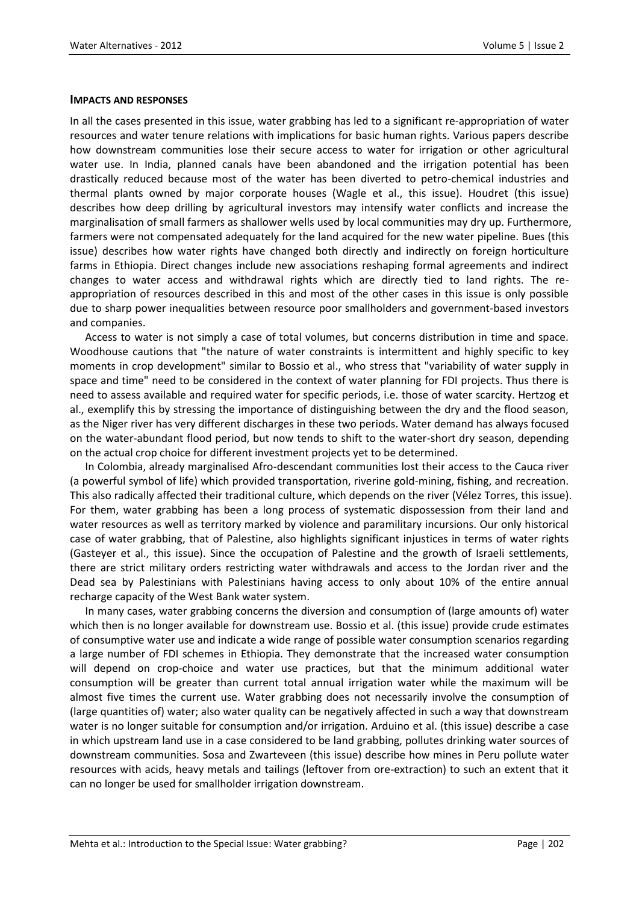#### **IMPACTS AND RESPONSES**

In all the cases presented in this issue, water grabbing has led to a significant re-appropriation of water resources and water tenure relations with implications for basic human rights. Various papers describe how downstream communities lose their secure access to water for irrigation or other agricultural water use. In India, planned canals have been abandoned and the irrigation potential has been drastically reduced because most of the water has been diverted to petro-chemical industries and thermal plants owned by major corporate houses (Wagle et al., this issue). Houdret (this issue) describes how deep drilling by agricultural investors may intensify water conflicts and increase the marginalisation of small farmers as shallower wells used by local communities may dry up. Furthermore, farmers were not compensated adequately for the land acquired for the new water pipeline. Bues (this issue) describes how water rights have changed both directly and indirectly on foreign horticulture farms in Ethiopia. Direct changes include new associations reshaping formal agreements and indirect changes to water access and withdrawal rights which are directly tied to land rights. The reappropriation of resources described in this and most of the other cases in this issue is only possible due to sharp power inequalities between resource poor smallholders and government-based investors and companies.

Access to water is not simply a case of total volumes, but concerns distribution in time and space. Woodhouse cautions that "the nature of water constraints is intermittent and highly specific to key moments in crop development" similar to Bossio et al., who stress that "variability of water supply in space and time" need to be considered in the context of water planning for FDI projects. Thus there is need to assess available and required water for specific periods, i.e. those of water scarcity. Hertzog et al., exemplify this by stressing the importance of distinguishing between the dry and the flood season, as the Niger river has very different discharges in these two periods. Water demand has always focused on the water-abundant flood period, but now tends to shift to the water-short dry season, depending on the actual crop choice for different investment projects yet to be determined.

In Colombia, already marginalised Afro-descendant communities lost their access to the Cauca river (a powerful symbol of life) which provided transportation, riverine gold-mining, fishing, and recreation. This also radically affected their traditional culture, which depends on the river (Vélez Torres, this issue). For them, water grabbing has been a long process of systematic dispossession from their land and water resources as well as territory marked by violence and paramilitary incursions. Our only historical case of water grabbing, that of Palestine, also highlights significant injustices in terms of water rights (Gasteyer et al., this issue). Since the occupation of Palestine and the growth of Israeli settlements, there are strict military orders restricting water withdrawals and access to the Jordan river and the Dead sea by Palestinians with Palestinians having access to only about 10% of the entire annual recharge capacity of the West Bank water system.

In many cases, water grabbing concerns the diversion and consumption of (large amounts of) water which then is no longer available for downstream use. Bossio et al. (this issue) provide crude estimates of consumptive water use and indicate a wide range of possible water consumption scenarios regarding a large number of FDI schemes in Ethiopia. They demonstrate that the increased water consumption will depend on crop-choice and water use practices, but that the minimum additional water consumption will be greater than current total annual irrigation water while the maximum will be almost five times the current use. Water grabbing does not necessarily involve the consumption of (large quantities of) water; also water quality can be negatively affected in such a way that downstream water is no longer suitable for consumption and/or irrigation. Arduino et al. (this issue) describe a case in which upstream land use in a case considered to be land grabbing, pollutes drinking water sources of downstream communities. Sosa and Zwarteveen (this issue) describe how mines in Peru pollute water resources with acids, heavy metals and tailings (leftover from ore-extraction) to such an extent that it can no longer be used for smallholder irrigation downstream.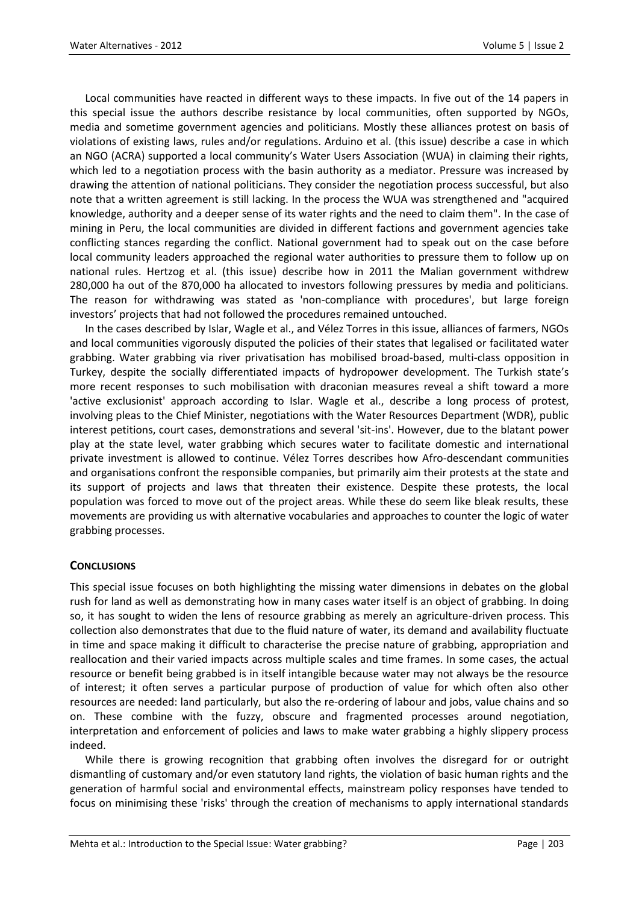Local communities have reacted in different ways to these impacts. In five out of the 14 papers in this special issue the authors describe resistance by local communities, often supported by NGOs, media and sometime government agencies and politicians. Mostly these alliances protest on basis of violations of existing laws, rules and/or regulations. Arduino et al. (this issue) describe a case in which an NGO (ACRA) supported a local community's Water Users Association (WUA) in claiming their rights, which led to a negotiation process with the basin authority as a mediator. Pressure was increased by drawing the attention of national politicians. They consider the negotiation process successful, but also note that a written agreement is still lacking. In the process the WUA was strengthened and "acquired knowledge, authority and a deeper sense of its water rights and the need to claim them". In the case of mining in Peru, the local communities are divided in different factions and government agencies take conflicting stances regarding the conflict. National government had to speak out on the case before local community leaders approached the regional water authorities to pressure them to follow up on national rules. Hertzog et al. (this issue) describe how in 2011 the Malian government withdrew 280,000 ha out of the 870,000 ha allocated to investors following pressures by media and politicians. The reason for withdrawing was stated as 'non-compliance with procedures', but large foreign investors' projects that had not followed the procedures remained untouched.

In the cases described by Islar, Wagle et al., and Vélez Torres in this issue, alliances of farmers, NGOs and local communities vigorously disputed the policies of their states that legalised or facilitated water grabbing. Water grabbing via river privatisation has mobilised broad-based, multi-class opposition in Turkey, despite the socially differentiated impacts of hydropower development. The Turkish state's more recent responses to such mobilisation with draconian measures reveal a shift toward a more 'active exclusionist' approach according to Islar. Wagle et al., describe a long process of protest, involving pleas to the Chief Minister, negotiations with the Water Resources Department (WDR), public interest petitions, court cases, demonstrations and several 'sit-ins'. However, due to the blatant power play at the state level, water grabbing which secures water to facilitate domestic and international private investment is allowed to continue. Vélez Torres describes how Afro-descendant communities and organisations confront the responsible companies, but primarily aim their protests at the state and its support of projects and laws that threaten their existence. Despite these protests, the local population was forced to move out of the project areas. While these do seem like bleak results, these movements are providing us with alternative vocabularies and approaches to counter the logic of water grabbing processes.

## **CONCLUSIONS**

This special issue focuses on both highlighting the missing water dimensions in debates on the global rush for land as well as demonstrating how in many cases water itself is an object of grabbing. In doing so, it has sought to widen the lens of resource grabbing as merely an agriculture-driven process. This collection also demonstrates that due to the fluid nature of water, its demand and availability fluctuate in time and space making it difficult to characterise the precise nature of grabbing, appropriation and reallocation and their varied impacts across multiple scales and time frames. In some cases, the actual resource or benefit being grabbed is in itself intangible because water may not always be the resource of interest; it often serves a particular purpose of production of value for which often also other resources are needed: land particularly, but also the re-ordering of labour and jobs, value chains and so on. These combine with the fuzzy, obscure and fragmented processes around negotiation, interpretation and enforcement of policies and laws to make water grabbing a highly slippery process indeed.

While there is growing recognition that grabbing often involves the disregard for or outright dismantling of customary and/or even statutory land rights, the violation of basic human rights and the generation of harmful social and environmental effects, mainstream policy responses have tended to focus on minimising these 'risks' through the creation of mechanisms to apply international standards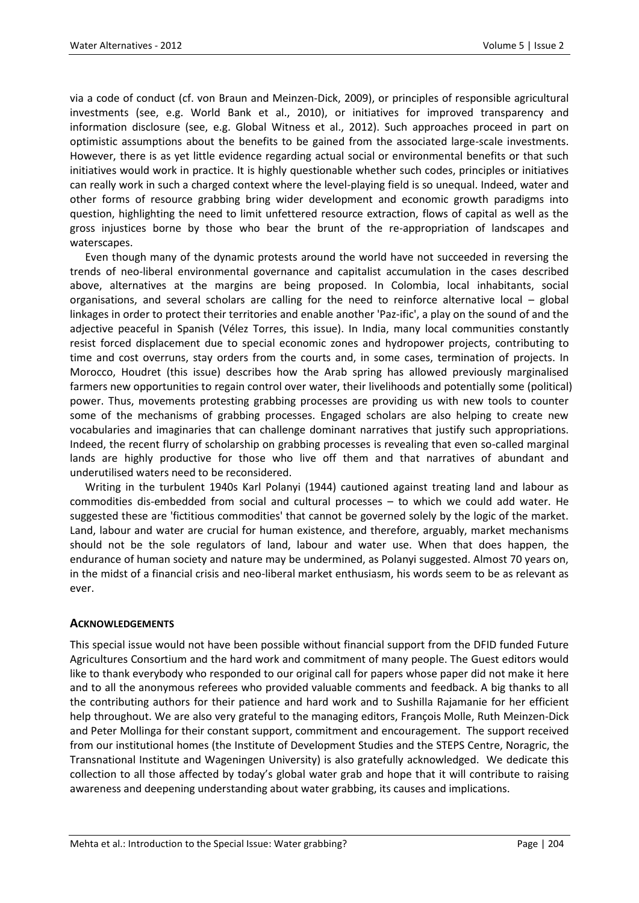via a code of conduct (cf. von Braun and Meinzen-Dick, 2009), or principles of responsible agricultural investments (see, e.g. World Bank et al., 2010), or initiatives for improved transparency and information disclosure (see, e.g. Global Witness et al., 2012). Such approaches proceed in part on optimistic assumptions about the benefits to be gained from the associated large-scale investments. However, there is as yet little evidence regarding actual social or environmental benefits or that such initiatives would work in practice. It is highly questionable whether such codes, principles or initiatives can really work in such a charged context where the level-playing field is so unequal. Indeed, water and other forms of resource grabbing bring wider development and economic growth paradigms into question, highlighting the need to limit unfettered resource extraction, flows of capital as well as the gross injustices borne by those who bear the brunt of the re-appropriation of landscapes and waterscapes.

Even though many of the dynamic protests around the world have not succeeded in reversing the trends of neo-liberal environmental governance and capitalist accumulation in the cases described above, alternatives at the margins are being proposed. In Colombia, local inhabitants, social organisations, and several scholars are calling for the need to reinforce alternative local – global linkages in order to protect their territories and enable another 'Paz-ific', a play on the sound of and the adjective peaceful in Spanish (Vélez Torres, this issue). In India, many local communities constantly resist forced displacement due to special economic zones and hydropower projects, contributing to time and cost overruns, stay orders from the courts and, in some cases, termination of projects. In Morocco, Houdret (this issue) describes how the Arab spring has allowed previously marginalised farmers new opportunities to regain control over water, their livelihoods and potentially some (political) power. Thus, movements protesting grabbing processes are providing us with new tools to counter some of the mechanisms of grabbing processes. Engaged scholars are also helping to create new vocabularies and imaginaries that can challenge dominant narratives that justify such appropriations. Indeed, the recent flurry of scholarship on grabbing processes is revealing that even so-called marginal lands are highly productive for those who live off them and that narratives of abundant and underutilised waters need to be reconsidered.

Writing in the turbulent 1940s Karl Polanyi (1944) cautioned against treating land and labour as commodities dis-embedded from social and cultural processes – to which we could add water. He suggested these are 'fictitious commodities' that cannot be governed solely by the logic of the market. Land, labour and water are crucial for human existence, and therefore, arguably, market mechanisms should not be the sole regulators of land, labour and water use. When that does happen, the endurance of human society and nature may be undermined, as Polanyi suggested. Almost 70 years on, in the midst of a financial crisis and neo-liberal market enthusiasm, his words seem to be as relevant as ever.

#### **ACKNOWLEDGEMENTS**

This special issue would not have been possible without financial support from the DFID funded Future Agricultures Consortium and the hard work and commitment of many people. The Guest editors would like to thank everybody who responded to our original call for papers whose paper did not make it here and to all the anonymous referees who provided valuable comments and feedback. A big thanks to all the contributing authors for their patience and hard work and to Sushilla Rajamanie for her efficient help throughout. We are also very grateful to the managing editors, François Molle, Ruth Meinzen-Dick and Peter Mollinga for their constant support, commitment and encouragement. The support received from our institutional homes (the Institute of Development Studies and the STEPS Centre, Noragric, the Transnational Institute and Wageningen University) is also gratefully acknowledged. We dedicate this collection to all those affected by today's global water grab and hope that it will contribute to raising awareness and deepening understanding about water grabbing, its causes and implications.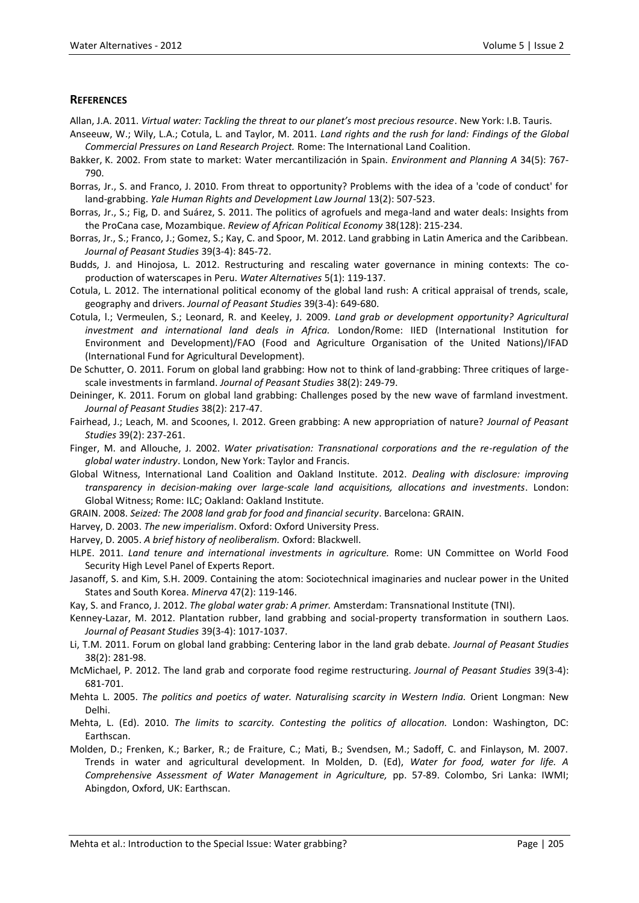#### **REFERENCES**

Allan, J.A. 2011. *Virtual water: Tackling the threat to our planet's most precious resource*. New York: I.B. Tauris.

- Anseeuw, W.; Wily, L.A.; Cotula, L. and Taylor, M. 2011. *Land rights and the rush for land: Findings of the Global Commercial Pressures on Land Research Project.* Rome: The International Land Coalition.
- Bakker, K. 2002. From state to market: Water mercantilización in Spain. *Environment and Planning A* 34(5): 767- 790.
- Borras, Jr., S. and Franco, J. 2010. From threat to opportunity? Problems with the idea of a 'code of conduct' for land-grabbing. *Yale Human Rights and Development Law Journal* 13(2): 507-523.
- Borras, Jr., S.; Fig, D. and Suárez, S. 2011. The politics of agrofuels and mega-land and water deals: Insights from the ProCana case, Mozambique. *Review of African Political Economy* [38\(](http://www.tandfonline.com/loi/crea20?open=38#vol_38)128): 215-234.
- Borras, Jr., S.; Franco, J.; Gomez, S.; Kay, C. and Spoor, M. 2012. Land grabbing in Latin America and the Caribbean. *Journal of Peasant Studies* 39(3-4): 845-72.
- Budds, J. and Hinojosa, L. 2012. Restructuring and rescaling water governance in mining contexts: The coproduction of waterscapes in Peru. *Water Alternatives* 5(1): 119-137.
- Cotula, L. 2012. The international political economy of the global land rush: A critical appraisal of trends, scale, geography and drivers. *Journal of Peasant Studies* 39(3-4): 649-680.
- Cotula, l.; Vermeulen, S.; Leonard, R. and Keeley, J. 2009. *Land grab or development opportunity? Agricultural investment and international land deals in Africa.* London/Rome: IIED (International Institution for Environment and Development)/FAO (Food and Agriculture Organisation of the United Nations)/IFAD (International Fund for Agricultural Development).
- De Schutter, O. 2011. Forum on global land grabbing: How not to think of land-grabbing: Three critiques of largescale investments in farmland. *Journal of Peasant Studies* 38(2): 249-79.
- Deininger, K. 2011. Forum on global land grabbing: Challenges posed by the new wave of farmland investment. *Journal of Peasant Studies* 38(2): 217-47.
- Fairhead, J.; Leach, M. and Scoones, I. 2012. Green grabbing: A new appropriation of nature? *Journal of Peasant Studies* 39(2): 237-261.
- Finger, M. and Allouche, J. 2002. *Water privatisation: Transnational corporations and the re-regulation of the global water industry*. London, New York: Taylor and Francis.
- Global Witness, International Land Coalition and Oakland Institute. 2012. *Dealing with disclosure: improving transparency in decision-making over large-scale land acquisitions, allocations and investments*. London: Global Witness; Rome: ILC; Oakland: Oakland Institute.
- GRAIN. 2008. *Seized: The 2008 land grab for food and financial security*. Barcelona: GRAIN.
- Harvey, D. 2003. *The new imperialism*. Oxford: Oxford University Press.
- Harvey, D. 2005. *A brief history of neoliberalism.* Oxford: Blackwell.
- HLPE. 2011. *Land tenure and international investments in agriculture.* Rome: UN Committee on World Food Security High Level Panel of Experts Report.
- Jasanoff, S. and Kim, S.H. 2009. Containing the atom: Sociotechnical imaginaries and nuclear power in the United States and South Korea. *Minerva* 47(2): 119-146.
- Kay, S. and Franco, J. 2012. *The global water grab: A primer.* Amsterdam: Transnational Institute (TNI).
- Kenney-Lazar, M. 2012. Plantation rubber, land grabbing and social-property transformation in southern Laos. *Journal of Peasant Studies* 39(3-4): 1017-1037.
- Li, T.M. 2011. Forum on global land grabbing: Centering labor in the land grab debate. *Journal of Peasant Studies* 38(2): 281-98.
- McMichael, P. 2012. The land grab and corporate food regime restructuring. *Journal of Peasant Studies* 39(3-4): 681-701.
- Mehta L. 2005. *The politics and poetics of water. Naturalising scarcity in Western India.* Orient Longman: New Delhi.
- Mehta, L. (Ed). 2010. *The limits to scarcity. Contesting the politics of allocation.* London: Washington, DC: Earthscan.
- Molden, D.; Frenken, K.; Barker, R.; de Fraiture, C.; Mati, B.; Svendsen, M.; Sadoff, C. and Finlayson, M. 2007. Trends in water and agricultural development. In Molden, D. (Ed), *Water for food, water for life. A Comprehensive Assessment of Water Management in Agriculture,* pp. 57-89. Colombo, Sri Lanka: IWMI; Abingdon, Oxford, UK: Earthscan.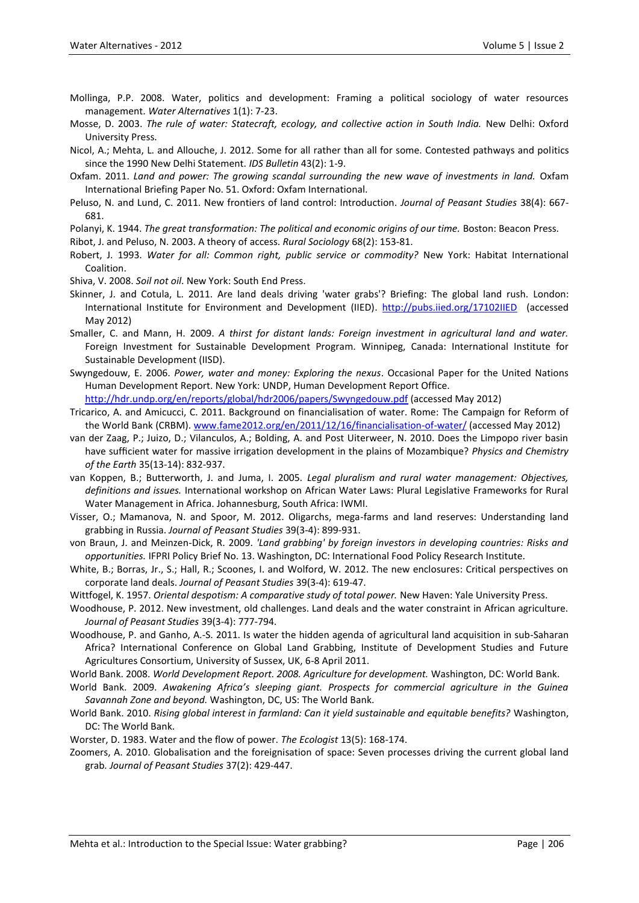- Mollinga, P.P. 2008. Water, politics and development: Framing a political sociology of water resources management. *Water Alternatives* 1(1): 7-23.
- Mosse, D. 2003. *The rule of water: Statecraft, ecology, and collective action in South India.* New Delhi: Oxford University Press.
- Nicol, A.; Mehta, L. and Allouche, J. 2012. Some for all rather than all for some. Contested pathways and politics since the 1990 New Delhi Statement. *IDS Bulletin* 43(2): 1-9.
- Oxfam. 2011. *Land and power: The growing scandal surrounding the new wave of investments in land.* Oxfam International Briefing Paper No. 51. Oxford: Oxfam International.
- Peluso, N. and Lund, C. 2011. New frontiers of land control: Introduction. *Journal of Peasant Studies* 38(4): 667- 681.
- Polanyi, K. 1944. *The great transformation: The political and economic origins of our time.* Boston: Beacon Press.
- Ribot, J. and Peluso, N. 2003. A theory of access. *Rural Sociology* 68(2): 153-81.
- Robert, J. 1993. *Water for all: Common right, public service or commodity?* New York: Habitat International Coalition.

Shiva, V. 2008. *Soil not oil*. New York: South End Press.

- Skinner, J. and Cotula, L. 2011. Are land deals driving 'water grabs'? Briefing: The global land rush. London: International Institute for Environment and Development (IIED).<http://pubs.iied.org/17102IIED>(accessed May 2012)
- Smaller, C. and Mann, H. 2009. *A thirst for distant lands: Foreign investment in agricultural land and water.* Foreign Investment for Sustainable Development Program. Winnipeg, Canada: International Institute for Sustainable Development (IISD).
- Swyngedouw, E. 2006. *Power, water and money: Exploring the nexus*. Occasional Paper for the United Nations Human Development Report. New York: UNDP, Human Development Report Office.

<http://hdr.undp.org/en/reports/global/hdr2006/papers/Swyngedouw.pdf> (accessed May 2012)

- Tricarico, A. and Amicucci, C. 2011. Background on financialisation of water. Rome: The Campaign for Reform of the World Bank (CRBM)[. www.f](http://www.fame2012.org/en/2011/12/16/financialisation-of-water/)am[e2012.o](http://www.fame2012.org/en/2011/12/16/financialisation-of-water/)r[g/en/2011/12/16/f](http://www.fame2012.org/en/2011/12/16/financialisation-of-water/)inancialisatio[n-of-w](http://www.fame2012.org/en/2011/12/16/financialisation-of-water/)ate[r/](http://www.fame2012.org/en/2011/12/16/financialisation-of-water/) (accessed May 2012)
- van der Zaag, P.; Juizo, D.; Vilanculos, A.; Bolding, A. and Post Uiterweer, N. 2010. Does the Limpopo river basin have sufficient water for massive irrigation development in the plains of Mozambique? *Physics and Chemistry of the Earth* 35(13-14): 832-937.
- van Koppen, B.; Butterworth, J. and Juma, I. 2005. *Legal pluralism and rural water management: Objectives, definitions and issues.* International workshop on African Water Laws: Plural Legislative Frameworks for Rural Water Management in Africa. Johannesburg, South Africa: IWMI.
- Visser, O.; Mamanova, N. and Spoor, M. 2012. Oligarchs, mega-farms and land reserves: Understanding land grabbing in Russia. *Journal of Peasant Studies* 39(3-4): 899-931.
- von Braun, J. and Meinzen-Dick, R. 2009. *'Land grabbing' by foreign investors in developing countries: Risks and opportunities.* IFPRI Policy Brief No. 13. Washington, DC: International Food Policy Research Institute.
- White, B.; Borras, Jr., S.; Hall, R.; Scoones, I. and Wolford, W. 2012. The new enclosures: Critical perspectives on corporate land deals. *Journal of Peasant Studies* 39(3-4): 619-47.
- Wittfogel, K. 1957. *Oriental despotism: A comparative study of total power.* New Haven: Yale University Press.
- Woodhouse, P. 2012. New investment, old challenges. Land deals and the water constraint in African agriculture. *Journal of Peasant Studies* 39(3-4): 777-794.
- Woodhouse, P. and Ganho, A.-S. 2011. Is water the hidden agenda of agricultural land acquisition in sub-Saharan Africa? International Conference on Global Land Grabbing, Institute of Development Studies and Future Agricultures Consortium, University of Sussex, UK, 6-8 April 2011.
- World Bank. 2008. *World Development Report. 2008. Agriculture for development.* Washington, DC: World Bank.
- World Bank. 2009. *Awakening Africa's sleeping giant. Prospects for commercial agriculture in the Guinea Savannah Zone and beyond.* Washington, DC, US: The World Bank.
- World Bank. 2010. *Rising global interest in farmland: Can it yield sustainable and equitable benefits?* Washington, DC: The World Bank.
- Worster, D. 1983. Water and the flow of power. *The Ecologist* 13(5): 168-174.
- Zoomers, A. 2010. Globalisation and the foreignisation of space: Seven processes driving the current global land grab*. Journal of Peasant Studies* 37(2): 429-447.